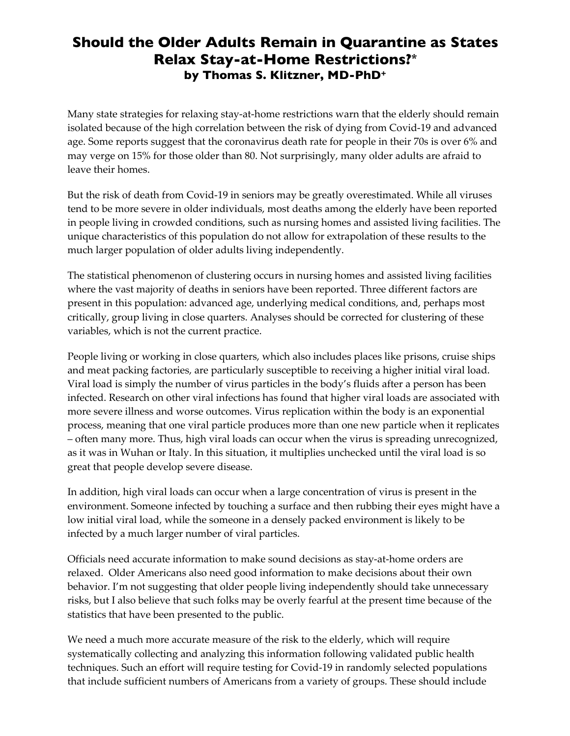# **Should the Older Adults Remain in Quarantine as States Relax Stay-at-Home Restrictions?\* by Thomas S. Klitzner, MD-PhD+**

Many state strategies for relaxing stay-at-home restrictions warn that the elderly should remain isolated because of the high correlation between the risk of dying from Covid-19 and advanced age. Some reports suggest that the coronavirus death rate for people in their 70s is over 6% and may verge on 15% for those older than 80. Not surprisingly, many older adults are afraid to leave their homes.

But the risk of death from Covid-19 in seniors may be greatly overestimated. While all viruses tend to be more severe in older individuals, most deaths among the elderly have been reported in people living in crowded conditions, such as nursing homes and assisted living facilities. The unique characteristics of this population do not allow for extrapolation of these results to the much larger population of older adults living independently.

The statistical phenomenon of clustering occurs in nursing homes and assisted living facilities where the vast majority of deaths in seniors have been reported. Three different factors are present in this population: advanced age, underlying medical conditions, and, perhaps most critically, group living in close quarters. Analyses should be corrected for clustering of these variables, which is not the current practice.

People living or working in close quarters, which also includes places like prisons, cruise ships and meat packing factories, are particularly susceptible to receiving a higher initial viral load. Viral load is simply the number of virus particles in the body's fluids after a person has been infected. Research on other viral infections has found that higher viral loads are associated with more severe illness and worse outcomes. Virus replication within the body is an exponential process, meaning that one viral particle produces more than one new particle when it replicates – often many more. Thus, high viral loads can occur when the virus is spreading unrecognized, as it was in Wuhan or Italy. In this situation, it multiplies unchecked until the viral load is so great that people develop severe disease.

In addition, high viral loads can occur when a large concentration of virus is present in the environment. Someone infected by touching a surface and then rubbing their eyes might have a low initial viral load, while the someone in a densely packed environment is likely to be infected by a much larger number of viral particles.

Officials need accurate information to make sound decisions as stay-at-home orders are relaxed. Older Americans also need good information to make decisions about their own behavior. I'm not suggesting that older people living independently should take unnecessary risks, but I also believe that such folks may be overly fearful at the present time because of the statistics that have been presented to the public.

We need a much more accurate measure of the risk to the elderly, which will require systematically collecting and analyzing this information following validated public health techniques. Such an effort will require testing for Covid-19 in randomly selected populations that include sufficient numbers of Americans from a variety of groups. These should include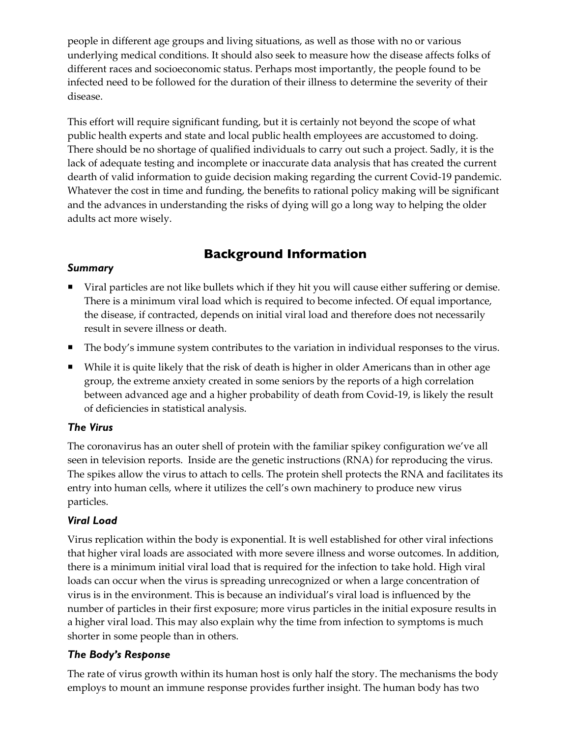people in different age groups and living situations, as well as those with no or various underlying medical conditions. It should also seek to measure how the disease affects folks of different races and socioeconomic status. Perhaps most importantly, the people found to be infected need to be followed for the duration of their illness to determine the severity of their disease.

This effort will require significant funding, but it is certainly not beyond the scope of what public health experts and state and local public health employees are accustomed to doing. There should be no shortage of qualified individuals to carry out such a project. Sadly, it is the lack of adequate testing and incomplete or inaccurate data analysis that has created the current dearth of valid information to guide decision making regarding the current Covid-19 pandemic. Whatever the cost in time and funding, the benefits to rational policy making will be significant and the advances in understanding the risks of dying will go a long way to helping the older adults act more wisely.

## **Background Information**

#### *Summary*

- ¡ Viral particles are not like bullets which if they hit you will cause either suffering or demise. There is a minimum viral load which is required to become infected. Of equal importance, the disease, if contracted, depends on initial viral load and therefore does not necessarily result in severe illness or death.
- ¡ The body's immune system contributes to the variation in individual responses to the virus.
- ¡ While it is quite likely that the risk of death is higher in older Americans than in other age group, the extreme anxiety created in some seniors by the reports of a high correlation between advanced age and a higher probability of death from Covid-19, is likely the result of deficiencies in statistical analysis.

### *The Virus*

The coronavirus has an outer shell of protein with the familiar spikey configuration we've all seen in television reports. Inside are the genetic instructions (RNA) for reproducing the virus. The spikes allow the virus to attach to cells. The protein shell protects the RNA and facilitates its entry into human cells, where it utilizes the cell's own machinery to produce new virus particles.

### *Viral Load*

Virus replication within the body is exponential. It is well established for other viral infections that higher viral loads are associated with more severe illness and worse outcomes. In addition, there is a minimum initial viral load that is required for the infection to take hold. High viral loads can occur when the virus is spreading unrecognized or when a large concentration of virus is in the environment. This is because an individual's viral load is influenced by the number of particles in their first exposure; more virus particles in the initial exposure results in a higher viral load. This may also explain why the time from infection to symptoms is much shorter in some people than in others.

### *The Body's Response*

The rate of virus growth within its human host is only half the story. The mechanisms the body employs to mount an immune response provides further insight. The human body has two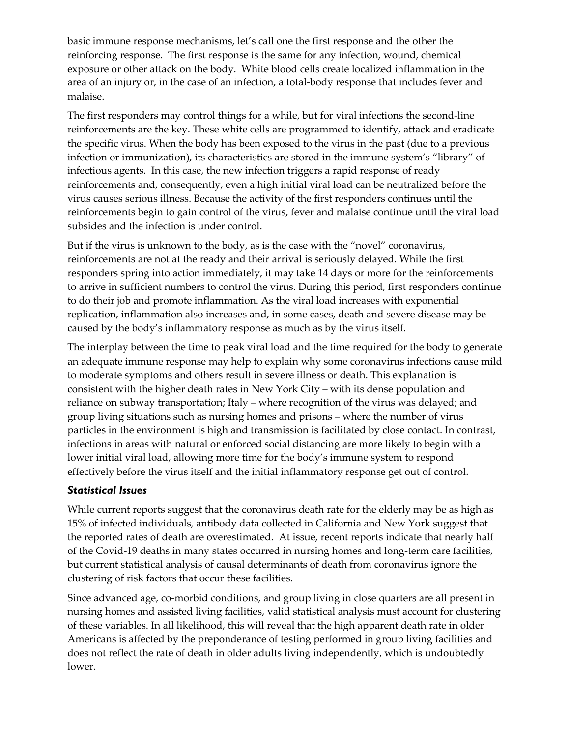basic immune response mechanisms, let's call one the first response and the other the reinforcing response. The first response is the same for any infection, wound, chemical exposure or other attack on the body. White blood cells create localized inflammation in the area of an injury or, in the case of an infection, a total-body response that includes fever and malaise.

The first responders may control things for a while, but for viral infections the second-line reinforcements are the key. These white cells are programmed to identify, attack and eradicate the specific virus. When the body has been exposed to the virus in the past (due to a previous infection or immunization), its characteristics are stored in the immune system's "library" of infectious agents. In this case, the new infection triggers a rapid response of ready reinforcements and, consequently, even a high initial viral load can be neutralized before the virus causes serious illness. Because the activity of the first responders continues until the reinforcements begin to gain control of the virus, fever and malaise continue until the viral load subsides and the infection is under control.

But if the virus is unknown to the body, as is the case with the "novel" coronavirus, reinforcements are not at the ready and their arrival is seriously delayed. While the first responders spring into action immediately, it may take 14 days or more for the reinforcements to arrive in sufficient numbers to control the virus. During this period, first responders continue to do their job and promote inflammation. As the viral load increases with exponential replication, inflammation also increases and, in some cases, death and severe disease may be caused by the body's inflammatory response as much as by the virus itself.

The interplay between the time to peak viral load and the time required for the body to generate an adequate immune response may help to explain why some coronavirus infections cause mild to moderate symptoms and others result in severe illness or death. This explanation is consistent with the higher death rates in New York City – with its dense population and reliance on subway transportation; Italy – where recognition of the virus was delayed; and group living situations such as nursing homes and prisons – where the number of virus particles in the environment is high and transmission is facilitated by close contact. In contrast, infections in areas with natural or enforced social distancing are more likely to begin with a lower initial viral load, allowing more time for the body's immune system to respond effectively before the virus itself and the initial inflammatory response get out of control.

#### *Statistical Issues*

While current reports suggest that the coronavirus death rate for the elderly may be as high as 15% of infected individuals, antibody data collected in California and New York suggest that the reported rates of death are overestimated. At issue, recent reports indicate that nearly half of the Covid-19 deaths in many states occurred in nursing homes and long-term care facilities, but current statistical analysis of causal determinants of death from coronavirus ignore the clustering of risk factors that occur these facilities.

Since advanced age, co-morbid conditions, and group living in close quarters are all present in nursing homes and assisted living facilities, valid statistical analysis must account for clustering of these variables. In all likelihood, this will reveal that the high apparent death rate in older Americans is affected by the preponderance of testing performed in group living facilities and does not reflect the rate of death in older adults living independently, which is undoubtedly lower.